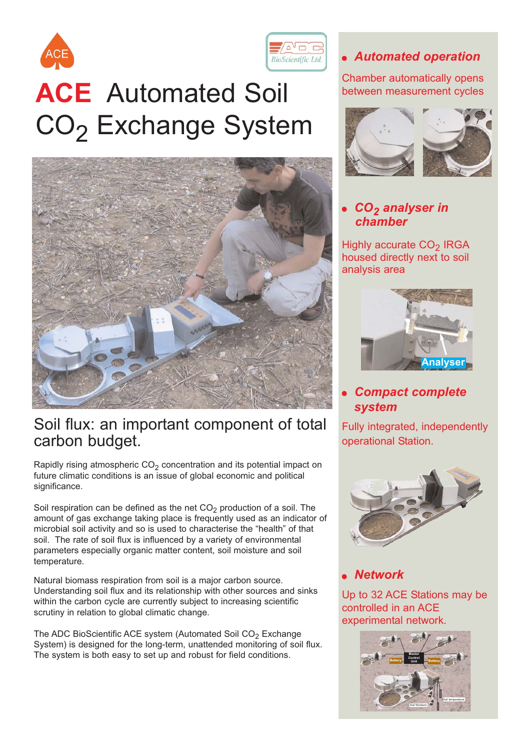



## Soil flux: an important component of total carbon budget.

Rapidly rising atmospheric  $CO<sub>2</sub>$  concentration and its potential impact on future climatic conditions is an issue of global economic and political significance.

Soil respiration can be defined as the net  $CO<sub>2</sub>$  production of a soil. The amount of gas exchange taking place is frequently used as an indicator of microbial soil activity and so is used to characterise the "health" of that soil. The rate of soil flux is influenced by a variety of environmental parameters especially organic matter content, soil moisture and soil temperature.

Natural biomass respiration from soil is a major carbon source. Understanding soil flux and its relationship with other sources and sinks within the carbon cycle are currently subject to increasing scientific scrutiny in relation to global climatic change.

The ADC BioScientific ACE system (Automated Soil  $CO<sub>2</sub>$  Exchange System) is designed for the long-term, unattended monitoring of soil flux. The system is both easy to set up and robust for field conditions.

#### *Automated operation*

Chamber automatically opens between measurement cycles



#### *CO2 analyser in chamber*

Highly accurate CO<sub>2</sub> IRGA housed directly next to soil analysis area



#### *Compact complete system*

Fully integrated, independently operational Station.



#### *Network*

Up to 32 ACE Stations may be controlled in an ACE experimental network.

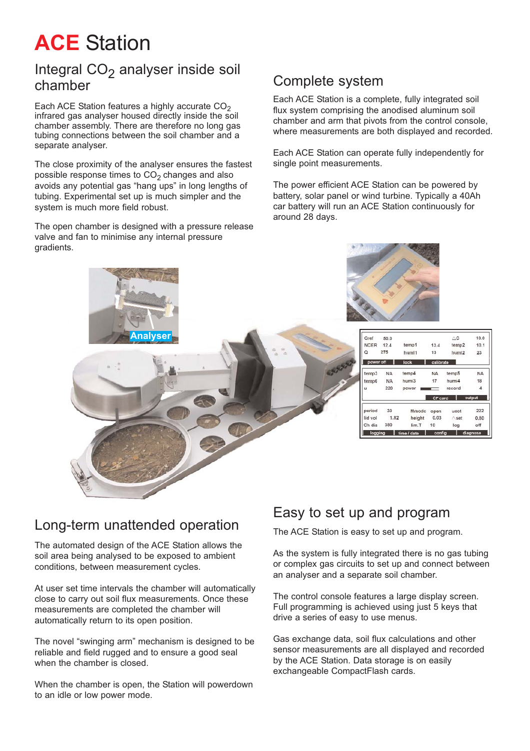# **ACE** Station

#### Integral  $CO<sub>2</sub>$  analyser inside soil chamber

Each ACE Station features a highly accurate  $CO<sub>2</sub>$ infrared gas analyser housed directly inside the soil chamber assembly. There are therefore no long gas tubing connections between the soil chamber and a separate analyser.

The close proximity of the analyser ensures the fastest possible response times to  $CO<sub>2</sub>$  changes and also avoids any potential gas "hang ups" in long lengths of tubing. Experimental set up is much simpler and the system is much more field robust.

The open chamber is designed with a pressure release valve and fan to minimise any internal pressure gradients.

#### Complete system

Each ACE Station is a complete, fully integrated soil flux system comprising the anodised aluminum soil chamber and arm that pivots from the control console, where measurements are both displayed and recorded.

Each ACE Station can operate fully independently for single point measurements.

The power efficient ACE Station can be powered by battery, solar panel or wind turbine. Typically a 40Ah car battery will run an ACE Station continuously for around 28 days.



#### Long-term unattended operation

The automated design of the ACE Station allows the soil area being analysed to be exposed to ambient conditions, between measurement cycles.

At user set time intervals the chamber will automatically close to carry out soil flux measurements. Once these measurements are completed the chamber will automatically return to its open position.

The novel "swinging arm" mechanism is designed to be reliable and field rugged and to ensure a good seal when the chamber is closed.

When the chamber is open, the Station will powerdown to an idle or low power mode.

#### Easy to set up and program

The ACE Station is easy to set up and program.

As the system is fully integrated there is no gas tubing or complex gas circuits to set up and connect between an analyser and a separate soil chamber.

The control console features a large display screen. Full programming is achieved using just 5 keys that drive a series of easy to use menus.

Gas exchange data, soil flux calculations and other sensor measurements are all displayed and recorded by the ACE Station. Data storage is on easily exchangeable CompactFlash cards.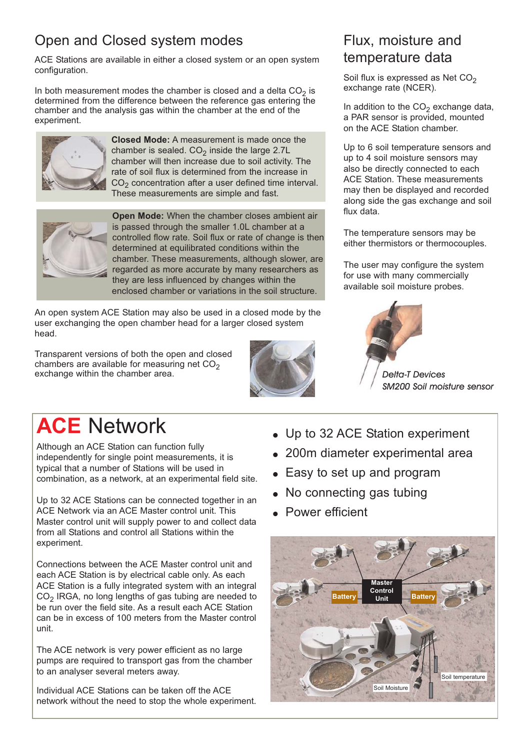## Open and Closed system modes

ACE Stations are available in either a closed system or an open system configuration.

In both measurement modes the chamber is closed and a delta  $CO<sub>2</sub>$  is determined from the difference between the reference gas entering the chamber and the analysis gas within the chamber at the end of the experiment.



**Closed Mode:** A measurement is made once the chamber is sealed.  $CO<sub>2</sub>$  inside the large 2.7L chamber will then increase due to soil activity. The rate of soil flux is determined from the increase in  $CO<sub>2</sub>$  concentration after a user defined time interval. These measurements are simple and fast.



**Open Mode:** When the chamber closes ambient air is passed through the smaller 1.0L chamber at a controlled flow rate. Soil flux or rate of change is then determined at equilibrated conditions within the chamber. These measurements, although slower, are regarded as more accurate by many researchers as they are less influenced by changes within the enclosed chamber or variations in the soil structure.

An open system ACE Station may also be used in a closed mode by the user exchanging the open chamber head for a larger closed system head.

Transparent versions of both the open and closed chambers are available for measuring net  $CO<sub>2</sub>$ exchange within the chamber area.



## Flux, moisture and temperature data

Soil flux is expressed as Net  $CO<sub>2</sub>$ exchange rate (NCER).

In addition to the  $CO<sub>2</sub>$  exchange data, a PAR sensor is provided, mounted on the ACE Station chamber.

Up to 6 soil temperature sensors and up to 4 soil moisture sensors may also be directly connected to each ACE Station. These measurements may then be displayed and recorded along side the gas exchange and soil flux data.

The temperature sensors may be either thermistors or thermocouples.

The user may configure the system for use with many commercially available soil moisture probes.



*Delta-T Devices SM200 Soil moisture sensor*

# **ACE** Network

Although an ACE Station can function fully independently for single point measurements, it is typical that a number of Stations will be used in combination, as a network, at an experimental field site.

Up to 32 ACE Stations can be connected together in an ACE Network via an ACE Master control unit. This Master control unit will supply power to and collect data from all Stations and control all Stations within the experiment.

Connections between the ACE Master control unit and each ACE Station is by electrical cable only. As each ACE Station is a fully integrated system with an integral  $CO<sub>2</sub>$  IRGA, no long lengths of gas tubing are needed to be run over the field site. As a result each ACE Station can be in excess of 100 meters from the Master control unit.

The ACE network is very power efficient as no large pumps are required to transport gas from the chamber to an analyser several meters away.

Individual ACE Stations can be taken off the ACE network without the need to stop the whole experiment.

- Up to 32 ACE Station experiment
- 200m diameter experimental area
- Easy to set up and program
- No connecting gas tubing
- Power efficient